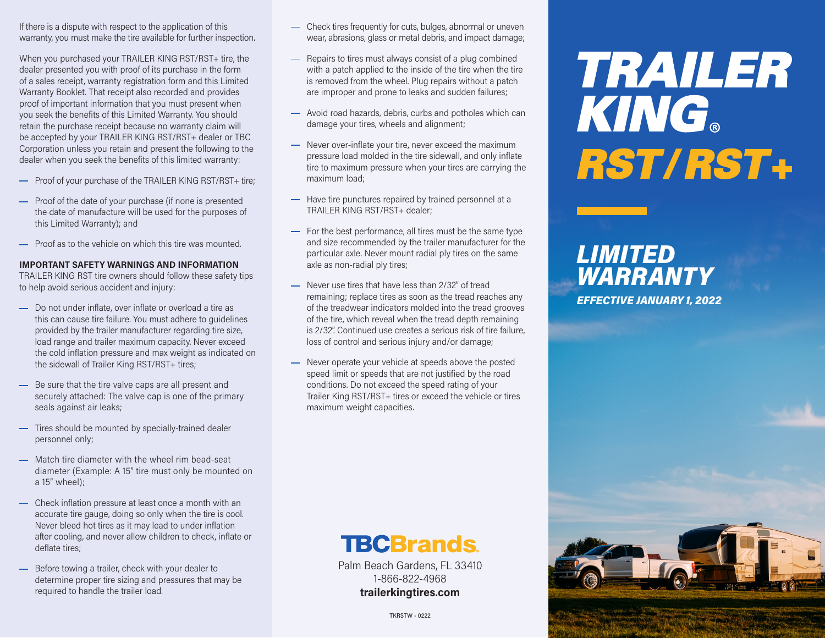If there is a dispute with respect to the application of this warranty, you must make the tire available for further inspection.

When you purchased your TRAILER KING RST/RST+ tire, the dealer presented you with proof of its purchase in the form of a sales receipt, warranty registration form and this Limited Warranty Booklet. That receipt also recorded and provides proof of important information that you must present when you seek the benefits of this Limited Warranty. You should retain the purchase receipt because no warranty claim will be accepted by your TRAILER KING RST/RST+ dealer or TBC Corporation unless you retain and present the following to the dealer when you seek the benefits of this limited warranty:

- Proof of your purchase of the TRAILER KING RST/RST+ tire;
- Proof of the date of your purchase (if none is presented the date of manufacture will be used for the purposes of this Limited Warranty); and
- **-** Proof as to the vehicle on which this tire was mounted.

#### **IMPORTANT SAFETY WARNINGS AND INFORMATION**

TRAILER KING RST tire owners should follow these safety tips to help avoid serious accident and injury:

- Do not under inflate, over inflate or overload a tire as this can cause tire failure. You must adhere to guidelines provided by the trailer manufacturer regarding tire size, load range and trailer maximum capacity. Never exceed the cold inflation pressure and max weight as indicated on the sidewall of Trailer King RST/RST+ tires;
- Be sure that the tire valve caps are all present and securely attached: The valve cap is one of the primary seals against air leaks;
- Tires should be mounted by specially-trained dealer personnel only;
- Match tire diameter with the wheel rim bead-seat diameter (Example: A 15" tire must only be mounted on a 15" wheel);
- Check inflation pressure at least once a month with an accurate tire gauge, doing so only when the tire is cool. Never bleed hot tires as it may lead to under inflation after cooling, and never allow children to check, inflate or deflate tires;
- Before towing a trailer, check with your dealer to determine proper tire sizing and pressures that may be required to handle the trailer load.
- Check tires frequently for cuts, bulges, abnormal or uneven wear, abrasions, glass or metal debris, and impact damage;
- Repairs to tires must always consist of a plug combined with a patch applied to the inside of the tire when the tire is removed from the wheel. Plug repairs without a patch are improper and prone to leaks and sudden failures;
- Avoid road hazards, debris, curbs and potholes which can damage your tires, wheels and alignment;
- Never over-inflate your tire, never exceed the maximum pressure load molded in the tire sidewall, and only inflate tire to maximum pressure when your tires are carrying the maximum load;
- $-$  Have tire punctures repaired by trained personnel at a TRAILER KING RST/RST+ dealer;
- For the best performance, all tires must be the same type and size recommended by the trailer manufacturer for the particular axle. Never mount radial ply tires on the same axle as non-radial ply tires;
- Never use tires that have less than 2/32" of tread remaining; replace tires as soon as the tread reaches any of the treadwear indicators molded into the tread grooves of the tire, which reveal when the tread depth remaining is 2/32". Continued use creates a serious risk of tire failure, loss of control and serious injury and/or damage;
- Never operate your vehicle at speeds above the posted speed limit or speeds that are not justified by the road conditions. Do not exceed the speed rating of your Trailer King RST/RST+ tires or exceed the vehicle or tires maximum weight capacities.

# TRAILER **KING** RST/RST+

### *LIMITED WARRANTY EFFECTIVE JANUARY 1, 2022*



Palm Beach Gardens, FL 33410 1-866-822-4968 **trailerkingtires.com**



TKRSTW - 0222